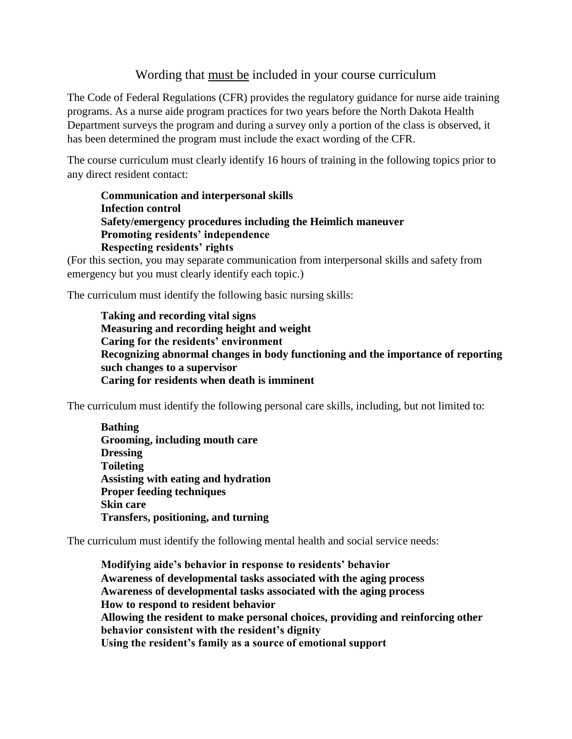## Wording that must be included in your course curriculum

The Code of Federal Regulations (CFR) provides the regulatory guidance for nurse aide training programs. As a nurse aide program practices for two years before the North Dakota Health Department surveys the program and during a survey only a portion of the class is observed, it has been determined the program must include the exact wording of the CFR.

The course curriculum must clearly identify 16 hours of training in the following topics prior to any direct resident contact:

**Communication and interpersonal skills Infection control Safety/emergency procedures including the Heimlich maneuver Promoting residents' independence Respecting residents' rights**

(For this section, you may separate communication from interpersonal skills and safety from emergency but you must clearly identify each topic.)

The curriculum must identify the following basic nursing skills:

**Taking and recording vital signs Measuring and recording height and weight Caring for the residents' environment Recognizing abnormal changes in body functioning and the importance of reporting such changes to a supervisor Caring for residents when death is imminent**

The curriculum must identify the following personal care skills, including, but not limited to:

**Bathing Grooming, including mouth care Dressing Toileting Assisting with eating and hydration Proper feeding techniques Skin care Transfers, positioning, and turning**

The curriculum must identify the following mental health and social service needs:

**Modifying aide's behavior in response to residents' behavior Awareness of developmental tasks associated with the aging process Awareness of developmental tasks associated with the aging process How to respond to resident behavior Allowing the resident to make personal choices, providing and reinforcing other behavior consistent with the resident's dignity Using the resident's family as a source of emotional support**